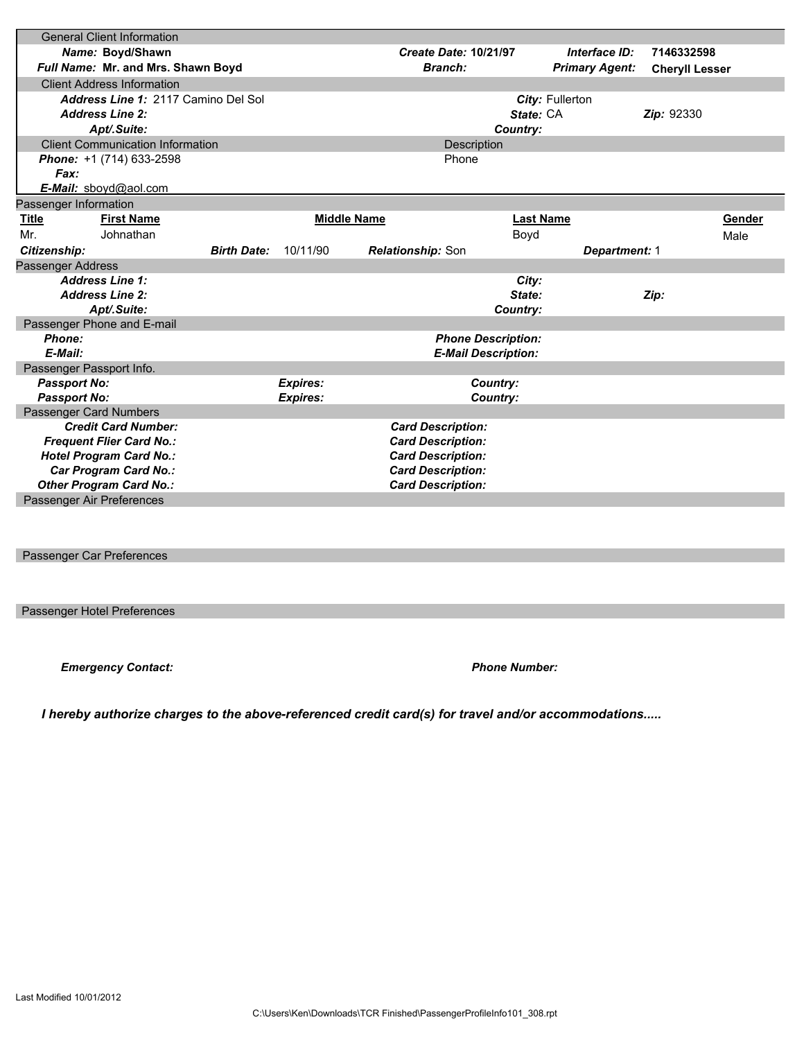|                                                         | <b>General Client Information</b>       |                                                      |                 |                                               |           |                       |                       |        |
|---------------------------------------------------------|-----------------------------------------|------------------------------------------------------|-----------------|-----------------------------------------------|-----------|-----------------------|-----------------------|--------|
| Name: Boyd/Shawn                                        |                                         |                                                      |                 | <b>Create Date: 10/21/97</b><br>Interface ID: |           | 7146332598            |                       |        |
|                                                         | Full Name: Mr. and Mrs. Shawn Boyd      |                                                      |                 | Branch:                                       |           | <b>Primary Agent:</b> | <b>Cheryll Lesser</b> |        |
|                                                         | <b>Client Address Information</b>       |                                                      |                 |                                               |           |                       |                       |        |
|                                                         | Address Line 1: 2117 Camino Del Sol     |                                                      |                 |                                               |           | City: Fullerton       |                       |        |
|                                                         | <b>Address Line 2:</b>                  |                                                      |                 |                                               | State: CA |                       | <b>Zip: 92330</b>     |        |
|                                                         | Apt/.Suite:                             |                                                      | Country:        |                                               |           |                       |                       |        |
|                                                         | <b>Client Communication Information</b> |                                                      | Description     |                                               |           |                       |                       |        |
|                                                         | Phone: +1 (714) 633-2598                |                                                      |                 |                                               | Phone     |                       |                       |        |
| Fax:                                                    |                                         |                                                      |                 |                                               |           |                       |                       |        |
|                                                         | <b>E-Mail:</b> sbovd@aol.com            |                                                      |                 |                                               |           |                       |                       |        |
| Passenger Information                                   |                                         |                                                      |                 |                                               |           |                       |                       |        |
| Title                                                   | <b>First Name</b>                       |                                                      |                 | <b>Middle Name</b>                            |           | <b>Last Name</b>      |                       | Gender |
| Mr.                                                     | Johnathan                               |                                                      |                 |                                               | Boyd      |                       |                       | Male   |
| <b>Birth Date:</b><br>Citizenship:                      |                                         | 10/11/90<br><b>Relationship: Son</b>                 |                 | <b>Department: 1</b>                          |           |                       |                       |        |
| Passenger Address                                       |                                         |                                                      |                 |                                               |           |                       |                       |        |
|                                                         | <b>Address Line 1:</b>                  |                                                      |                 |                                               | City:     |                       |                       |        |
|                                                         | <b>Address Line 2:</b>                  |                                                      |                 |                                               | State:    |                       | Zip:                  |        |
|                                                         | Apt/.Suite:                             |                                                      |                 |                                               | Country:  |                       |                       |        |
|                                                         | Passenger Phone and E-mail              |                                                      |                 |                                               |           |                       |                       |        |
| Phone:                                                  |                                         |                                                      |                 | <b>Phone Description:</b>                     |           |                       |                       |        |
| E-Mail:                                                 |                                         |                                                      |                 | <b>E-Mail Description:</b>                    |           |                       |                       |        |
| Passenger Passport Info.                                |                                         |                                                      |                 |                                               |           |                       |                       |        |
| <b>Passport No:</b>                                     |                                         |                                                      | <b>Expires:</b> |                                               | Country:  |                       |                       |        |
| <b>Passport No:</b>                                     |                                         |                                                      | <b>Expires:</b> |                                               | Country:  |                       |                       |        |
|                                                         | Passenger Card Numbers                  |                                                      |                 |                                               |           |                       |                       |        |
| <b>Credit Card Number:</b>                              |                                         | <b>Card Description:</b>                             |                 |                                               |           |                       |                       |        |
| <b>Frequent Flier Card No.:</b>                         |                                         | <b>Card Description:</b>                             |                 |                                               |           |                       |                       |        |
| <b>Hotel Program Card No.:</b><br>Car Program Card No.: |                                         | <b>Card Description:</b><br><b>Card Description:</b> |                 |                                               |           |                       |                       |        |
| <b>Other Program Card No.:</b>                          |                                         | <b>Card Description:</b>                             |                 |                                               |           |                       |                       |        |
| Passenger Air Preferences                               |                                         |                                                      |                 |                                               |           |                       |                       |        |
|                                                         |                                         |                                                      |                 |                                               |           |                       |                       |        |

## Passenger Car Preferences

Passenger Hotel Preferences

*Emergency Contact: Phone Number:*

 *I hereby authorize charges to the above-referenced credit card(s) for travel and/or accommodations.....*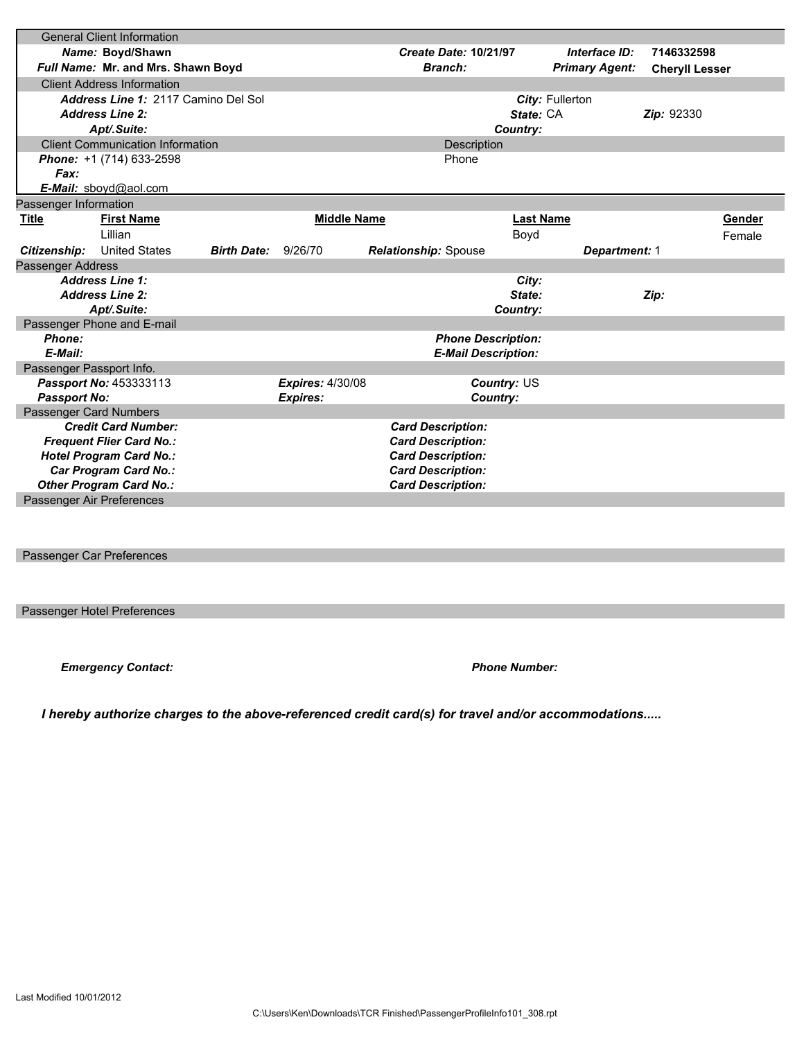|                                                      | <b>General Client Information</b>   |                          |                                                      |         |                  |                       |                       |        |
|------------------------------------------------------|-------------------------------------|--------------------------|------------------------------------------------------|---------|------------------|-----------------------|-----------------------|--------|
| Name: Boyd/Shawn                                     |                                     |                          | <b>Create Date: 10/21/97</b>                         |         | Interface ID:    | 7146332598            |                       |        |
| Full Name: Mr. and Mrs. Shawn Boyd                   |                                     |                          |                                                      | Branch: |                  | <b>Primary Agent:</b> | <b>Cheryll Lesser</b> |        |
|                                                      | <b>Client Address Information</b>   |                          |                                                      |         |                  |                       |                       |        |
|                                                      | Address Line 1: 2117 Camino Del Sol |                          |                                                      |         |                  | City: Fullerton       |                       |        |
|                                                      | <b>Address Line 2:</b>              |                          |                                                      |         | State: CA        |                       | <b>Zip: 92330</b>     |        |
|                                                      | Apt/.Suite:                         |                          | Country:                                             |         |                  |                       |                       |        |
| <b>Client Communication Information</b>              |                                     |                          | Description                                          |         |                  |                       |                       |        |
|                                                      | Phone: +1 (714) 633-2598            |                          | Phone                                                |         |                  |                       |                       |        |
| Fax:                                                 |                                     |                          |                                                      |         |                  |                       |                       |        |
|                                                      | E-Mail: sboyd@aol.com               |                          |                                                      |         |                  |                       |                       |        |
| Passenger Information                                |                                     |                          |                                                      |         |                  |                       |                       |        |
| Title                                                | <b>First Name</b>                   |                          | <b>Middle Name</b>                                   |         | <b>Last Name</b> |                       |                       | Gender |
|                                                      | Lillian                             |                          |                                                      |         | Boyd             |                       |                       | Female |
| Citizenship:                                         | <b>United States</b>                | <b>Birth Date:</b>       | 9/26/70<br><b>Relationship: Spouse</b>               |         |                  | <b>Department: 1</b>  |                       |        |
| <b>Passenger Address</b>                             |                                     |                          |                                                      |         |                  |                       |                       |        |
|                                                      | <b>Address Line 1:</b>              |                          |                                                      |         | City:            |                       |                       |        |
| <b>Address Line 2:</b>                               |                                     |                          |                                                      | State:  |                  | Zip:                  |                       |        |
|                                                      | Apt/.Suite:                         |                          |                                                      |         | Country:         |                       |                       |        |
|                                                      | Passenger Phone and E-mail          |                          |                                                      |         |                  |                       |                       |        |
| Phone:                                               |                                     |                          | <b>Phone Description:</b>                            |         |                  |                       |                       |        |
| E-Mail:<br><b>E-Mail Description:</b>                |                                     |                          |                                                      |         |                  |                       |                       |        |
| Passenger Passport Info.                             |                                     |                          |                                                      |         |                  |                       |                       |        |
|                                                      | Passport No: 453333113              |                          | <b>Expires: 4/30/08</b>                              |         | Country: US      |                       |                       |        |
| <b>Passport No:</b>                                  |                                     |                          | <b>Expires:</b>                                      |         | Country:         |                       |                       |        |
| Passenger Card Numbers<br><b>Credit Card Number:</b> |                                     |                          |                                                      |         |                  |                       |                       |        |
| <b>Frequent Flier Card No.:</b>                      |                                     |                          | <b>Card Description:</b><br><b>Card Description:</b> |         |                  |                       |                       |        |
| <b>Hotel Program Card No.:</b>                       |                                     |                          | <b>Card Description:</b>                             |         |                  |                       |                       |        |
| Car Program Card No.:                                |                                     |                          | <b>Card Description:</b>                             |         |                  |                       |                       |        |
| <b>Other Program Card No.:</b>                       |                                     | <b>Card Description:</b> |                                                      |         |                  |                       |                       |        |
| Passenger Air Preferences                            |                                     |                          |                                                      |         |                  |                       |                       |        |
|                                                      |                                     |                          |                                                      |         |                  |                       |                       |        |

## Passenger Car Preferences

Passenger Hotel Preferences

*Emergency Contact: Phone Number:*

 *I hereby authorize charges to the above-referenced credit card(s) for travel and/or accommodations.....*